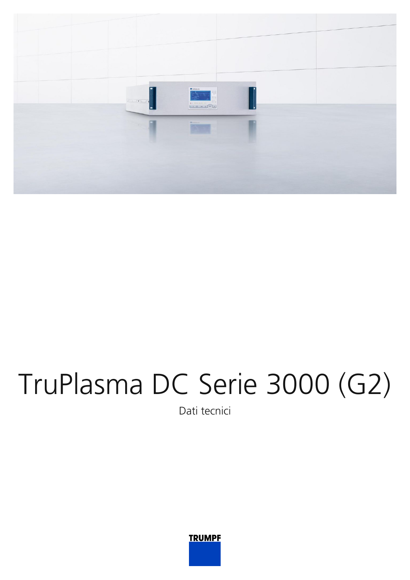

## TruPlasma DC Serie 3000 (G2)

Dati tecnici

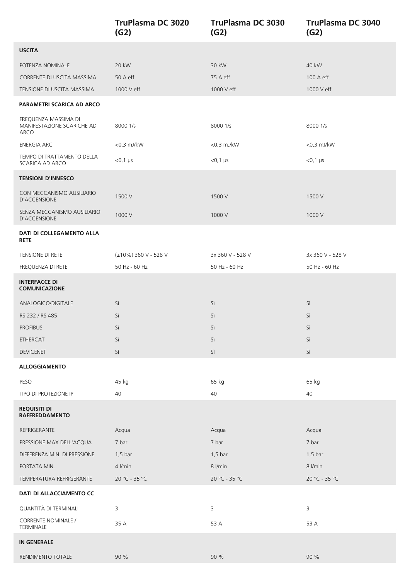|                                                            | <b>TruPlasma DC 3020</b><br>(G2) | TruPlasma DC 3030<br>(G2) | <b>TruPlasma DC 3040</b><br>(G2) |
|------------------------------------------------------------|----------------------------------|---------------------------|----------------------------------|
| <b>USCITA</b>                                              |                                  |                           |                                  |
| POTENZA NOMINALE                                           | 20 kW                            | 30 kW                     | 40 kW                            |
| CORRENTE DI USCITA MASSIMA                                 | $50A$ eff                        | 75 A eff                  | 100 A eff                        |
| TENSIONE DI USCITA MASSIMA                                 | 1000 V eff                       | 1000 V eff                | 1000 V eff                       |
| PARAMETRI SCARICA AD ARCO                                  |                                  |                           |                                  |
| FREQUENZA MASSIMA DI<br>MANIFESTAZIONE SCARICHE AD<br>ARCO | 8000 1/s                         | 8000 1/s                  | 8000 1/s                         |
| <b>ENERGIA ARC</b>                                         | $<$ 0,3 mJ/kW                    | $<$ 0,3 mJ/kW             | $<$ 0,3 mJ/kW                    |
| TEMPO DI TRATTAMENTO DELLA<br>SCARICA AD ARCO              | $<$ 0,1 $\mu$ s                  | $< 0, 1 \,\mu s$          | $<$ 0,1 µs                       |
| <b>TENSIONI D'INNESCO</b>                                  |                                  |                           |                                  |
| CON MECCANISMO AUSILIARIO<br>D'ACCENSIONE                  | 1500 V                           | 1500 V                    | 1500 V                           |
| SENZA MECCANISMO AUSILIARIO<br><b>D'ACCENSIONE</b>         | 1000 V                           | 1000 V                    | 1000 V                           |
| DATI DI COLLEGAMENTO ALLA<br><b>RETE</b>                   |                                  |                           |                                  |
| TENSIONE DI RETE                                           | (±10%) 360 V - 528 V             | 3x 360 V - 528 V          | 3x 360 V - 528 V                 |
| FREQUENZA DI RETE                                          | 50 Hz - 60 Hz                    | 50 Hz - 60 Hz             | 50 Hz - 60 Hz                    |
| <b>INTERFACCE DI</b><br><b>COMUNICAZIONE</b>               |                                  |                           |                                  |
| ANALOGICO/DIGITALE                                         | Sì                               | Sì                        | Sì                               |
| RS 232 / RS 485                                            | Sì                               | Sì                        | Sì                               |
| <b>PROFIBUS</b>                                            | Sì                               | Sì                        | Sì                               |
| ETHERCAT                                                   | Sì                               | Sì                        | Sì                               |
| <b>DEVICENET</b>                                           | Sì                               | Sì                        | Sì                               |
| <b>ALLOGGIAMENTO</b>                                       |                                  |                           |                                  |
| PESO                                                       | 45 kg                            | 65 kg                     | 65 kg                            |
| TIPO DI PROTEZIONE IP                                      | 40                               | 40                        | 40                               |
| <b>REQUISITI DI</b><br><b>RAFFREDDAMENTO</b>               |                                  |                           |                                  |
| REFRIGERANTE                                               | Acqua                            | Acqua                     | Acqua                            |
| PRESSIONE MAX DELL'ACQUA                                   | 7 bar                            | 7 bar                     | 7 bar                            |
| DIFFERENZA MIN. DI PRESSIONE                               | $1,5$ bar                        | $1,5$ bar                 | $1,5$ bar                        |
| PORTATA MIN.                                               | 4 l/min                          | 8 l/min                   | 8 l/min                          |
| TEMPERATURA REFRIGERANTE                                   | 20 °C - 35 °C                    | 20 °C - 35 °C             | 20 °C - 35 °C                    |
| <b>DATI DI ALLACCIAMENTO CC</b>                            |                                  |                           |                                  |
| QUANTITÀ DI TERMINALI                                      | 3                                | 3                         | 3                                |
| CORRENTE NOMINALE /<br>TERMINALE                           | 35 A                             | 53 A                      | 53 A                             |
| <b>IN GENERALE</b>                                         |                                  |                           |                                  |
| RENDIMENTO TOTALE                                          | 90 %                             | 90 %                      | 90 %                             |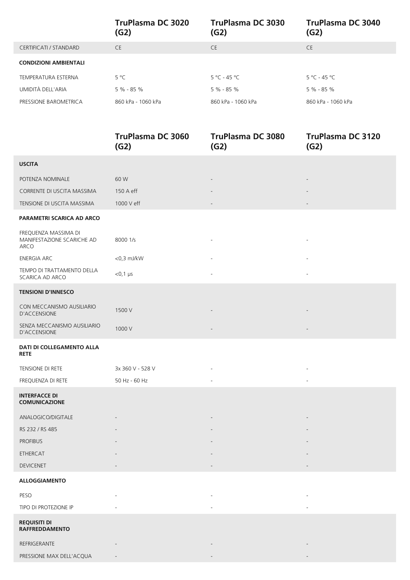|                              | TruPlasma DC 3020<br>(G2) | TruPlasma DC 3030<br>(G2)       | TruPlasma DC 3040<br>(G2)       |
|------------------------------|---------------------------|---------------------------------|---------------------------------|
| CERTIFICATI / STANDARD       | <b>CE</b>                 | <b>CE</b>                       | <b>CE</b>                       |
| <b>CONDIZIONI AMBIENTALI</b> |                           |                                 |                                 |
| TEMPERATURA ESTERNA          | $5^{\circ}$ C             | $5^{\circ}$ C - 45 $^{\circ}$ C | $5^{\circ}$ C - 45 $^{\circ}$ C |
| UMIDITÀ DELL'ARIA            | $5\% - 85\%$              | $5\% - 85\%$                    | $5% - 85%$                      |
| PRESSIONE BAROMETRICA        | 860 kPa - 1060 kPa        | 860 kPa - 1060 kPa              | 860 kPa - 1060 kPa              |
|                              |                           |                                 |                                 |

|                                                            | <b>TruPlasma DC 3060</b><br>(G2) | <b>TruPlasma DC 3080</b><br>(G2) | <b>TruPlasma DC 3120</b><br>(G2) |
|------------------------------------------------------------|----------------------------------|----------------------------------|----------------------------------|
| <b>USCITA</b>                                              |                                  |                                  |                                  |
| POTENZA NOMINALE                                           | 60 W                             |                                  |                                  |
| CORRENTE DI USCITA MASSIMA                                 | 150 A eff                        |                                  |                                  |
| TENSIONE DI USCITA MASSIMA                                 | 1000 V eff                       |                                  |                                  |
| PARAMETRI SCARICA AD ARCO                                  |                                  |                                  |                                  |
| FREQUENZA MASSIMA DI<br>MANIFESTAZIONE SCARICHE AD<br>ARCO | 8000 1/s                         |                                  |                                  |
| <b>ENERGIA ARC</b>                                         | $<$ 0,3 mJ/kW                    |                                  |                                  |
| TEMPO DI TRATTAMENTO DELLA<br>SCARICA AD ARCO              | $<$ 0,1 $\mu$ s                  |                                  |                                  |
| <b>TENSIONI D'INNESCO</b>                                  |                                  |                                  |                                  |
| CON MECCANISMO AUSILIARIO<br><b>D'ACCENSIONE</b>           | 1500 V                           |                                  |                                  |
| SENZA MECCANISMO AUSILIARIO<br>D'ACCENSIONE                | 1000 V                           |                                  |                                  |
| DATI DI COLLEGAMENTO ALLA<br><b>RETE</b>                   |                                  |                                  |                                  |
| TENSIONE DI RETE                                           | 3x 360 V - 528 V                 |                                  |                                  |
| FREQUENZA DI RETE                                          | 50 Hz - 60 Hz                    |                                  |                                  |
| <b>INTERFACCE DI</b><br><b>COMUNICAZIONE</b>               |                                  |                                  |                                  |
| ANALOGICO/DIGITALE                                         |                                  |                                  |                                  |
| RS 232 / RS 485                                            |                                  |                                  |                                  |
| <b>PROFIBUS</b>                                            |                                  |                                  |                                  |
| ETHERCAT                                                   |                                  |                                  |                                  |
| <b>DEVICENET</b>                                           |                                  |                                  |                                  |
| <b>ALLOGGIAMENTO</b>                                       |                                  |                                  |                                  |
| PESO                                                       |                                  |                                  |                                  |
| TIPO DI PROTEZIONE IP                                      |                                  |                                  |                                  |
| <b>REQUISITI DI</b><br><b>RAFFREDDAMENTO</b>               |                                  |                                  |                                  |
| REFRIGERANTE                                               |                                  |                                  |                                  |
| PRESSIONE MAX DELL'ACQUA                                   |                                  |                                  |                                  |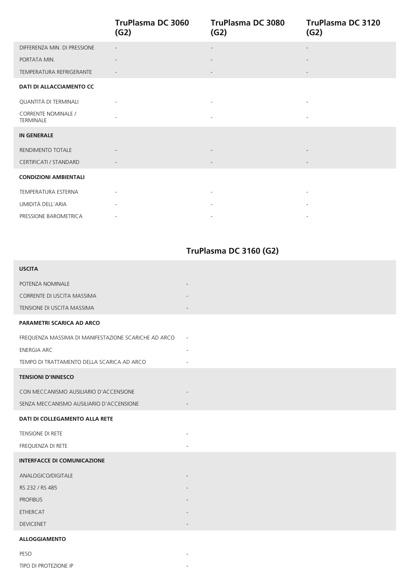|                                         | <b>TruPlasma DC 3060</b><br>(G2) | TruPlasma DC 3080<br>(G2) | <b>TruPlasma DC 3120</b><br>(G2) |
|-----------------------------------------|----------------------------------|---------------------------|----------------------------------|
| DIFFERENZA MIN. DI PRESSIONE            |                                  |                           |                                  |
| PORTATA MIN.                            |                                  |                           |                                  |
| TEMPERATURA REFRIGERANTE                |                                  | $\overline{\phantom{a}}$  |                                  |
| <b>DATI DI ALLACCIAMENTO CC</b>         |                                  |                           |                                  |
| QUANTITÀ DI TERMINALI                   |                                  |                           |                                  |
| <b>CORRENTE NOMINALE /</b><br>TERMINALE |                                  | $\overline{\phantom{a}}$  |                                  |
| <b>IN GENERALE</b>                      |                                  |                           |                                  |
| RENDIMENTO TOTALE                       |                                  |                           |                                  |
| CERTIFICATI / STANDARD                  |                                  |                           |                                  |
| <b>CONDIZIONI AMBIENTALI</b>            |                                  |                           |                                  |
| <b>TEMPERATURA ESTERNA</b>              | $\overline{\phantom{a}}$         | $\sim$                    | $\overline{\phantom{a}}$         |
| UMIDITÀ DELL'ARIA                       |                                  |                           |                                  |
| PRESSIONE BAROMETRICA                   | $\overline{\phantom{a}}$         |                           |                                  |

## **TruPlasma DC 3160 (G2)**

| <b>USCITA</b>                                        |                          |
|------------------------------------------------------|--------------------------|
| POTENZA NOMINALE                                     |                          |
| CORRENTE DI USCITA MASSIMA                           |                          |
| TENSIONE DI USCITA MASSIMA                           |                          |
| <b>PARAMETRI SCARICA AD ARCO</b>                     |                          |
| FREQUENZA MASSIMA DI MANIFESTAZIONE SCARICHE AD ARCO | $\overline{\phantom{a}}$ |
| <b>ENERGIA ARC</b>                                   |                          |
| TEMPO DI TRATTAMENTO DELLA SCARICA AD ARCO           |                          |
| <b>TENSIONI D'INNESCO</b>                            |                          |
| CON MECCANISMO AUSILIARIO D'ACCENSIONE               |                          |
| SENZA MECCANISMO AUSILIARIO D'ACCENSIONE             |                          |
| DATI DI COLLEGAMENTO ALLA RETE                       |                          |
| TENSIONE DI RETE                                     |                          |
| FREQUENZA DI RETE                                    |                          |
| <b>INTERFACCE DI COMUNICAZIONE</b>                   |                          |
| ANALOGICO/DIGITALE                                   |                          |
| RS 232 / RS 485                                      |                          |
| <b>PROFIBUS</b>                                      |                          |
| <b>ETHERCAT</b>                                      |                          |
| <b>DEVICENET</b>                                     |                          |
| <b>ALLOGGIAMENTO</b>                                 |                          |
| PESO                                                 | $\overline{\phantom{a}}$ |

TIPO DI PROTEZIONE IP